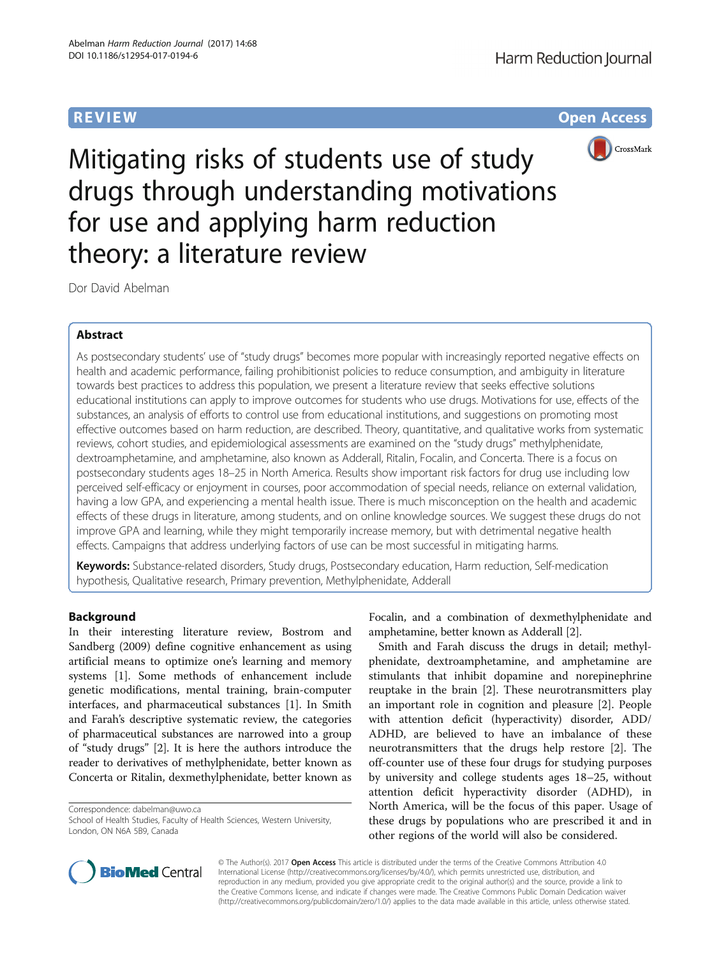**REVIEW CONSTRUCTION CONSTRUCTION CONSTRUCTS** 



Mitigating risks of students use of study drugs through understanding motivations for use and applying harm reduction theory: a literature review

Dor David Abelman

# Abstract

As postsecondary students' use of "study drugs" becomes more popular with increasingly reported negative effects on health and academic performance, failing prohibitionist policies to reduce consumption, and ambiguity in literature towards best practices to address this population, we present a literature review that seeks effective solutions educational institutions can apply to improve outcomes for students who use drugs. Motivations for use, effects of the substances, an analysis of efforts to control use from educational institutions, and suggestions on promoting most effective outcomes based on harm reduction, are described. Theory, quantitative, and qualitative works from systematic reviews, cohort studies, and epidemiological assessments are examined on the "study drugs" methylphenidate, dextroamphetamine, and amphetamine, also known as Adderall, Ritalin, Focalin, and Concerta. There is a focus on postsecondary students ages 18–25 in North America. Results show important risk factors for drug use including low perceived self-efficacy or enjoyment in courses, poor accommodation of special needs, reliance on external validation, having a low GPA, and experiencing a mental health issue. There is much misconception on the health and academic effects of these drugs in literature, among students, and on online knowledge sources. We suggest these drugs do not improve GPA and learning, while they might temporarily increase memory, but with detrimental negative health effects. Campaigns that address underlying factors of use can be most successful in mitigating harms.

Keywords: Substance-related disorders, Study drugs, Postsecondary education, Harm reduction, Self-medication hypothesis, Qualitative research, Primary prevention, Methylphenidate, Adderall

# Background

In their interesting literature review, Bostrom and Sandberg (2009) define cognitive enhancement as using artificial means to optimize one's learning and memory systems [[1\]](#page-5-0). Some methods of enhancement include genetic modifications, mental training, brain-computer interfaces, and pharmaceutical substances [[1\]](#page-5-0). In Smith and Farah's descriptive systematic review, the categories of pharmaceutical substances are narrowed into a group of "study drugs" [[2\]](#page-5-0). It is here the authors introduce the reader to derivatives of methylphenidate, better known as Concerta or Ritalin, dexmethylphenidate, better known as

Correspondence: [dabelman@uwo.ca](mailto:dabelman@uwo.ca)

Focalin, and a combination of dexmethylphenidate and amphetamine, better known as Adderall [[2\]](#page-5-0).

Smith and Farah discuss the drugs in detail; methylphenidate, dextroamphetamine, and amphetamine are stimulants that inhibit dopamine and norepinephrine reuptake in the brain [[2\]](#page-5-0). These neurotransmitters play an important role in cognition and pleasure [\[2](#page-5-0)]. People with attention deficit (hyperactivity) disorder, ADD/ ADHD, are believed to have an imbalance of these neurotransmitters that the drugs help restore [\[2](#page-5-0)]. The off-counter use of these four drugs for studying purposes by university and college students ages 18–25, without attention deficit hyperactivity disorder (ADHD), in North America, will be the focus of this paper. Usage of these drugs by populations who are prescribed it and in other regions of the world will also be considered.



© The Author(s). 2017 **Open Access** This article is distributed under the terms of the Creative Commons Attribution 4.0 International License [\(http://creativecommons.org/licenses/by/4.0/](http://creativecommons.org/licenses/by/4.0/)), which permits unrestricted use, distribution, and reproduction in any medium, provided you give appropriate credit to the original author(s) and the source, provide a link to the Creative Commons license, and indicate if changes were made. The Creative Commons Public Domain Dedication waiver [\(http://creativecommons.org/publicdomain/zero/1.0/](http://creativecommons.org/publicdomain/zero/1.0/)) applies to the data made available in this article, unless otherwise stated.

School of Health Studies, Faculty of Health Sciences, Western University, London, ON N6A 5B9, Canada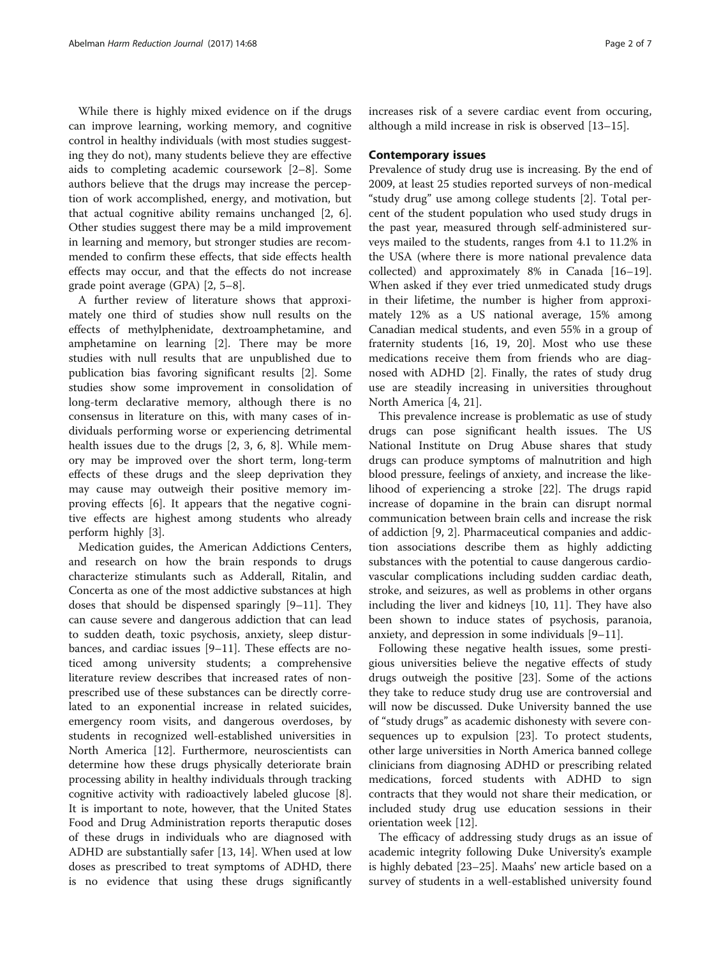While there is highly mixed evidence on if the drugs can improve learning, working memory, and cognitive control in healthy individuals (with most studies suggesting they do not), many students believe they are effective aids to completing academic coursework [[2](#page-5-0)–[8](#page-5-0)]. Some authors believe that the drugs may increase the perception of work accomplished, energy, and motivation, but that actual cognitive ability remains unchanged [\[2](#page-5-0), [6](#page-5-0)]. Other studies suggest there may be a mild improvement in learning and memory, but stronger studies are recommended to confirm these effects, that side effects health effects may occur, and that the effects do not increase grade point average (GPA) [\[2](#page-5-0), [5](#page-5-0)–[8](#page-5-0)].

A further review of literature shows that approximately one third of studies show null results on the effects of methylphenidate, dextroamphetamine, and amphetamine on learning [\[2](#page-5-0)]. There may be more studies with null results that are unpublished due to publication bias favoring significant results [[2\]](#page-5-0). Some studies show some improvement in consolidation of long-term declarative memory, although there is no consensus in literature on this, with many cases of individuals performing worse or experiencing detrimental health issues due to the drugs [[2, 3, 6](#page-5-0), [8](#page-5-0)]. While memory may be improved over the short term, long-term effects of these drugs and the sleep deprivation they may cause may outweigh their positive memory improving effects [\[6](#page-5-0)]. It appears that the negative cognitive effects are highest among students who already perform highly [[3\]](#page-5-0).

Medication guides, the American Addictions Centers, and research on how the brain responds to drugs characterize stimulants such as Adderall, Ritalin, and Concerta as one of the most addictive substances at high doses that should be dispensed sparingly [\[9](#page-5-0)–[11](#page-5-0)]. They can cause severe and dangerous addiction that can lead to sudden death, toxic psychosis, anxiety, sleep disturbances, and cardiac issues [[9](#page-5-0)–[11](#page-5-0)]. These effects are noticed among university students; a comprehensive literature review describes that increased rates of nonprescribed use of these substances can be directly correlated to an exponential increase in related suicides, emergency room visits, and dangerous overdoses, by students in recognized well-established universities in North America [[12\]](#page-5-0). Furthermore, neuroscientists can determine how these drugs physically deteriorate brain processing ability in healthy individuals through tracking cognitive activity with radioactively labeled glucose [\[8](#page-5-0)]. It is important to note, however, that the United States Food and Drug Administration reports theraputic doses of these drugs in individuals who are diagnosed with ADHD are substantially safer [[13, 14](#page-5-0)]. When used at low doses as prescribed to treat symptoms of ADHD, there is no evidence that using these drugs significantly

increases risk of a severe cardiac event from occuring, although a mild increase in risk is observed [\[13](#page-5-0)–[15\]](#page-5-0).

#### Contemporary issues

Prevalence of study drug use is increasing. By the end of 2009, at least 25 studies reported surveys of non-medical "study drug" use among college students [\[2](#page-5-0)]. Total percent of the student population who used study drugs in the past year, measured through self-administered surveys mailed to the students, ranges from 4.1 to 11.2% in the USA (where there is more national prevalence data collected) and approximately 8% in Canada [[16](#page-5-0)–[19](#page-6-0)]. When asked if they ever tried unmedicated study drugs in their lifetime, the number is higher from approximately 12% as a US national average, 15% among Canadian medical students, and even 55% in a group of fraternity students [[16](#page-5-0), [19](#page-6-0), [20\]](#page-6-0). Most who use these medications receive them from friends who are diagnosed with ADHD [[2\]](#page-5-0). Finally, the rates of study drug use are steadily increasing in universities throughout North America [\[4,](#page-5-0) [21\]](#page-6-0).

This prevalence increase is problematic as use of study drugs can pose significant health issues. The US National Institute on Drug Abuse shares that study drugs can produce symptoms of malnutrition and high blood pressure, feelings of anxiety, and increase the likelihood of experiencing a stroke [\[22](#page-6-0)]. The drugs rapid increase of dopamine in the brain can disrupt normal communication between brain cells and increase the risk of addiction [[9, 2\]](#page-5-0). Pharmaceutical companies and addiction associations describe them as highly addicting substances with the potential to cause dangerous cardiovascular complications including sudden cardiac death, stroke, and seizures, as well as problems in other organs including the liver and kidneys [\[10](#page-5-0), [11\]](#page-5-0). They have also been shown to induce states of psychosis, paranoia, anxiety, and depression in some individuals [[9](#page-5-0)–[11\]](#page-5-0).

Following these negative health issues, some prestigious universities believe the negative effects of study drugs outweigh the positive [[23](#page-6-0)]. Some of the actions they take to reduce study drug use are controversial and will now be discussed. Duke University banned the use of "study drugs" as academic dishonesty with severe consequences up to expulsion [\[23\]](#page-6-0). To protect students, other large universities in North America banned college clinicians from diagnosing ADHD or prescribing related medications, forced students with ADHD to sign contracts that they would not share their medication, or included study drug use education sessions in their orientation week [\[12](#page-5-0)].

The efficacy of addressing study drugs as an issue of academic integrity following Duke University's example is highly debated [\[23](#page-6-0)–[25\]](#page-6-0). Maahs' new article based on a survey of students in a well-established university found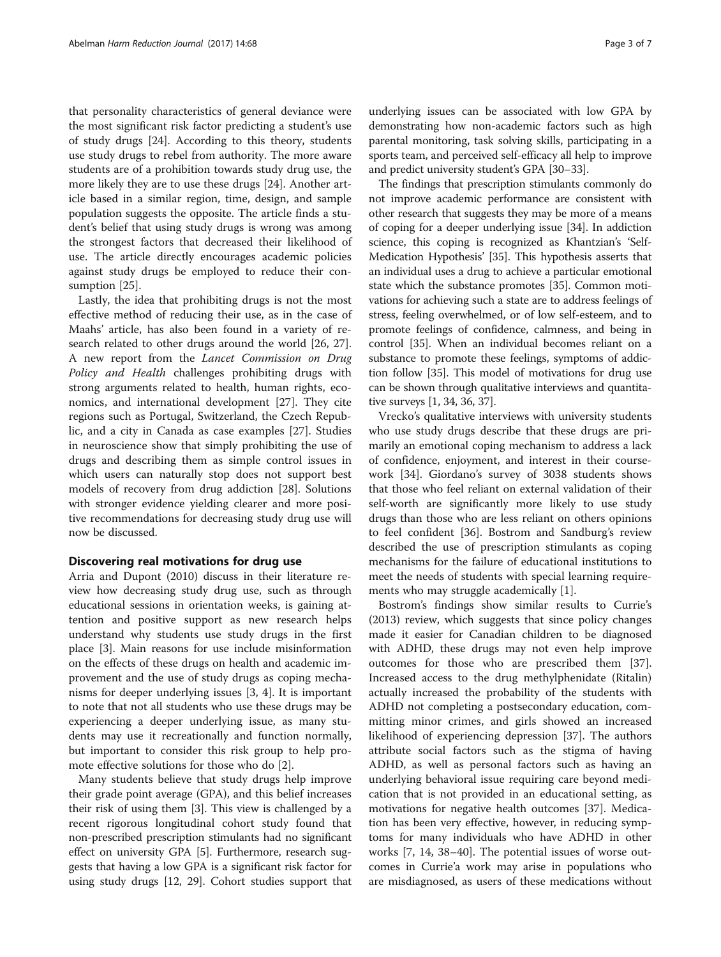that personality characteristics of general deviance were the most significant risk factor predicting a student's use of study drugs [[24](#page-6-0)]. According to this theory, students use study drugs to rebel from authority. The more aware students are of a prohibition towards study drug use, the more likely they are to use these drugs [[24\]](#page-6-0). Another article based in a similar region, time, design, and sample population suggests the opposite. The article finds a student's belief that using study drugs is wrong was among the strongest factors that decreased their likelihood of use. The article directly encourages academic policies against study drugs be employed to reduce their consumption [[25](#page-6-0)].

Lastly, the idea that prohibiting drugs is not the most effective method of reducing their use, as in the case of Maahs' article, has also been found in a variety of research related to other drugs around the world [[26, 27](#page-6-0)]. A new report from the Lancet Commission on Drug Policy and Health challenges prohibiting drugs with strong arguments related to health, human rights, economics, and international development [[27\]](#page-6-0). They cite regions such as Portugal, Switzerland, the Czech Republic, and a city in Canada as case examples [\[27\]](#page-6-0). Studies in neuroscience show that simply prohibiting the use of drugs and describing them as simple control issues in which users can naturally stop does not support best models of recovery from drug addiction [\[28](#page-6-0)]. Solutions with stronger evidence yielding clearer and more positive recommendations for decreasing study drug use will now be discussed.

#### Discovering real motivations for drug use

Arria and Dupont (2010) discuss in their literature review how decreasing study drug use, such as through educational sessions in orientation weeks, is gaining attention and positive support as new research helps understand why students use study drugs in the first place [\[3\]](#page-5-0). Main reasons for use include misinformation on the effects of these drugs on health and academic improvement and the use of study drugs as coping mechanisms for deeper underlying issues [\[3](#page-5-0), [4\]](#page-5-0). It is important to note that not all students who use these drugs may be experiencing a deeper underlying issue, as many students may use it recreationally and function normally, but important to consider this risk group to help promote effective solutions for those who do [[2\]](#page-5-0).

Many students believe that study drugs help improve their grade point average (GPA), and this belief increases their risk of using them [[3\]](#page-5-0). This view is challenged by a recent rigorous longitudinal cohort study found that non-prescribed prescription stimulants had no significant effect on university GPA [\[5](#page-5-0)]. Furthermore, research suggests that having a low GPA is a significant risk factor for using study drugs [\[12](#page-5-0), [29](#page-6-0)]. Cohort studies support that

underlying issues can be associated with low GPA by demonstrating how non-academic factors such as high parental monitoring, task solving skills, participating in a sports team, and perceived self-efficacy all help to improve and predict university student's GPA [\[30](#page-6-0)–[33](#page-6-0)].

The findings that prescription stimulants commonly do not improve academic performance are consistent with other research that suggests they may be more of a means of coping for a deeper underlying issue [\[34\]](#page-6-0). In addiction science, this coping is recognized as Khantzian's 'Self-Medication Hypothesis' [[35](#page-6-0)]. This hypothesis asserts that an individual uses a drug to achieve a particular emotional state which the substance promotes [[35](#page-6-0)]. Common motivations for achieving such a state are to address feelings of stress, feeling overwhelmed, or of low self-esteem, and to promote feelings of confidence, calmness, and being in control [\[35](#page-6-0)]. When an individual becomes reliant on a substance to promote these feelings, symptoms of addiction follow [\[35\]](#page-6-0). This model of motivations for drug use can be shown through qualitative interviews and quantitative surveys [[1,](#page-5-0) [34](#page-6-0), [36](#page-6-0), [37\]](#page-6-0).

Vrecko's qualitative interviews with university students who use study drugs describe that these drugs are primarily an emotional coping mechanism to address a lack of confidence, enjoyment, and interest in their coursework [[34\]](#page-6-0). Giordano's survey of 3038 students shows that those who feel reliant on external validation of their self-worth are significantly more likely to use study drugs than those who are less reliant on others opinions to feel confident [\[36](#page-6-0)]. Bostrom and Sandburg's review described the use of prescription stimulants as coping mechanisms for the failure of educational institutions to meet the needs of students with special learning requirements who may struggle academically [\[1\]](#page-5-0).

Bostrom's findings show similar results to Currie's (2013) review, which suggests that since policy changes made it easier for Canadian children to be diagnosed with ADHD, these drugs may not even help improve outcomes for those who are prescribed them [\[37](#page-6-0)]. Increased access to the drug methylphenidate (Ritalin) actually increased the probability of the students with ADHD not completing a postsecondary education, committing minor crimes, and girls showed an increased likelihood of experiencing depression [\[37](#page-6-0)]. The authors attribute social factors such as the stigma of having ADHD, as well as personal factors such as having an underlying behavioral issue requiring care beyond medication that is not provided in an educational setting, as motivations for negative health outcomes [[37\]](#page-6-0). Medication has been very effective, however, in reducing symptoms for many individuals who have ADHD in other works [[7, 14](#page-5-0), [38](#page-6-0)–[40](#page-6-0)]. The potential issues of worse outcomes in Currie'a work may arise in populations who are misdiagnosed, as users of these medications without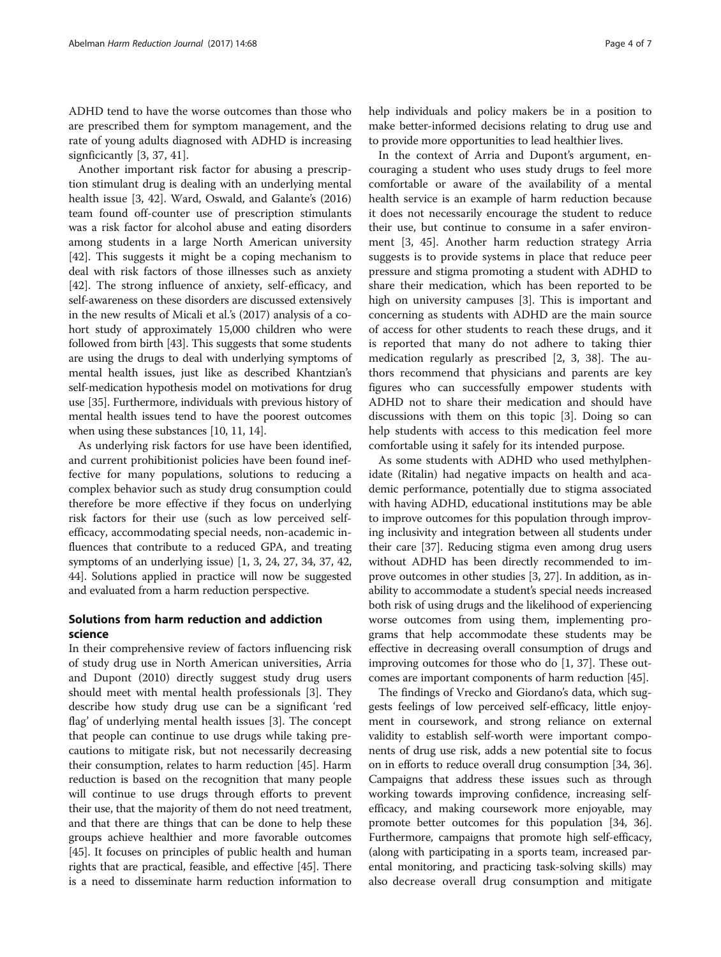ADHD tend to have the worse outcomes than those who are prescribed them for symptom management, and the rate of young adults diagnosed with ADHD is increasing signficicantly [[3,](#page-5-0) [37, 41\]](#page-6-0).

Another important risk factor for abusing a prescription stimulant drug is dealing with an underlying mental health issue [[3,](#page-5-0) [42](#page-6-0)]. Ward, Oswald, and Galante's (2016) team found off-counter use of prescription stimulants was a risk factor for alcohol abuse and eating disorders among students in a large North American university [[42\]](#page-6-0). This suggests it might be a coping mechanism to deal with risk factors of those illnesses such as anxiety [[42\]](#page-6-0). The strong influence of anxiety, self-efficacy, and self-awareness on these disorders are discussed extensively in the new results of Micali et al.'s (2017) analysis of a cohort study of approximately 15,000 children who were followed from birth [[43](#page-6-0)]. This suggests that some students are using the drugs to deal with underlying symptoms of mental health issues, just like as described Khantzian's self-medication hypothesis model on motivations for drug use [[35](#page-6-0)]. Furthermore, individuals with previous history of mental health issues tend to have the poorest outcomes when using these substances [[10](#page-5-0), [11, 14\]](#page-5-0).

As underlying risk factors for use have been identified, and current prohibitionist policies have been found ineffective for many populations, solutions to reducing a complex behavior such as study drug consumption could therefore be more effective if they focus on underlying risk factors for their use (such as low perceived selfefficacy, accommodating special needs, non-academic influences that contribute to a reduced GPA, and treating symptoms of an underlying issue) [\[1](#page-5-0), [3](#page-5-0), [24](#page-6-0), [27, 34, 37, 42](#page-6-0), [44](#page-6-0)]. Solutions applied in practice will now be suggested and evaluated from a harm reduction perspective.

## Solutions from harm reduction and addiction science

In their comprehensive review of factors influencing risk of study drug use in North American universities, Arria and Dupont (2010) directly suggest study drug users should meet with mental health professionals [[3\]](#page-5-0). They describe how study drug use can be a significant 'red flag' of underlying mental health issues [\[3](#page-5-0)]. The concept that people can continue to use drugs while taking precautions to mitigate risk, but not necessarily decreasing their consumption, relates to harm reduction [[45](#page-6-0)]. Harm reduction is based on the recognition that many people will continue to use drugs through efforts to prevent their use, that the majority of them do not need treatment, and that there are things that can be done to help these groups achieve healthier and more favorable outcomes [[45](#page-6-0)]. It focuses on principles of public health and human rights that are practical, feasible, and effective [[45](#page-6-0)]. There is a need to disseminate harm reduction information to help individuals and policy makers be in a position to make better-informed decisions relating to drug use and to provide more opportunities to lead healthier lives.

In the context of Arria and Dupont's argument, encouraging a student who uses study drugs to feel more comfortable or aware of the availability of a mental health service is an example of harm reduction because it does not necessarily encourage the student to reduce their use, but continue to consume in a safer environment [[3,](#page-5-0) [45](#page-6-0)]. Another harm reduction strategy Arria suggests is to provide systems in place that reduce peer pressure and stigma promoting a student with ADHD to share their medication, which has been reported to be high on university campuses [[3\]](#page-5-0). This is important and concerning as students with ADHD are the main source of access for other students to reach these drugs, and it is reported that many do not adhere to taking thier medication regularly as prescribed [[2, 3,](#page-5-0) [38\]](#page-6-0). The authors recommend that physicians and parents are key figures who can successfully empower students with ADHD not to share their medication and should have discussions with them on this topic [\[3](#page-5-0)]. Doing so can help students with access to this medication feel more comfortable using it safely for its intended purpose.

As some students with ADHD who used methylphenidate (Ritalin) had negative impacts on health and academic performance, potentially due to stigma associated with having ADHD, educational institutions may be able to improve outcomes for this population through improving inclusivity and integration between all students under their care [\[37\]](#page-6-0). Reducing stigma even among drug users without ADHD has been directly recommended to improve outcomes in other studies [[3,](#page-5-0) [27](#page-6-0)]. In addition, as inability to accommodate a student's special needs increased both risk of using drugs and the likelihood of experiencing worse outcomes from using them, implementing programs that help accommodate these students may be effective in decreasing overall consumption of drugs and improving outcomes for those who do [[1,](#page-5-0) [37](#page-6-0)]. These outcomes are important components of harm reduction [\[45\]](#page-6-0).

The findings of Vrecko and Giordano's data, which suggests feelings of low perceived self-efficacy, little enjoyment in coursework, and strong reliance on external validity to establish self-worth were important components of drug use risk, adds a new potential site to focus on in efforts to reduce overall drug consumption [[34, 36](#page-6-0)]. Campaigns that address these issues such as through working towards improving confidence, increasing selfefficacy, and making coursework more enjoyable, may promote better outcomes for this population [\[34](#page-6-0), [36](#page-6-0)]. Furthermore, campaigns that promote high self-efficacy, (along with participating in a sports team, increased parental monitoring, and practicing task-solving skills) may also decrease overall drug consumption and mitigate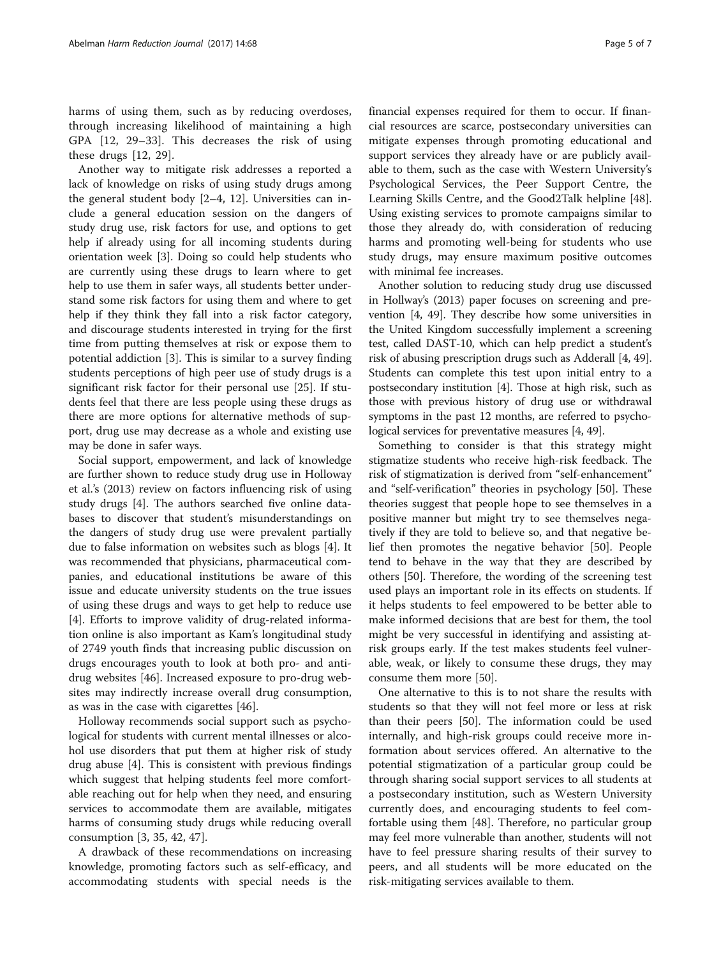harms of using them, such as by reducing overdoses, through increasing likelihood of maintaining a high GPA [[12,](#page-5-0) [29](#page-6-0)–[33](#page-6-0)]. This decreases the risk of using these drugs [\[12](#page-5-0), [29\]](#page-6-0).

Another way to mitigate risk addresses a reported a lack of knowledge on risks of using study drugs among the general student body [\[2](#page-5-0)–[4, 12\]](#page-5-0). Universities can include a general education session on the dangers of study drug use, risk factors for use, and options to get help if already using for all incoming students during orientation week [[3\]](#page-5-0). Doing so could help students who are currently using these drugs to learn where to get help to use them in safer ways, all students better understand some risk factors for using them and where to get help if they think they fall into a risk factor category, and discourage students interested in trying for the first time from putting themselves at risk or expose them to potential addiction [[3\]](#page-5-0). This is similar to a survey finding students perceptions of high peer use of study drugs is a significant risk factor for their personal use [[25\]](#page-6-0). If students feel that there are less people using these drugs as there are more options for alternative methods of support, drug use may decrease as a whole and existing use may be done in safer ways.

Social support, empowerment, and lack of knowledge are further shown to reduce study drug use in Holloway et al.'s (2013) review on factors influencing risk of using study drugs [[4\]](#page-5-0). The authors searched five online databases to discover that student's misunderstandings on the dangers of study drug use were prevalent partially due to false information on websites such as blogs [[4\]](#page-5-0). It was recommended that physicians, pharmaceutical companies, and educational institutions be aware of this issue and educate university students on the true issues of using these drugs and ways to get help to reduce use [[4\]](#page-5-0). Efforts to improve validity of drug-related information online is also important as Kam's longitudinal study of 2749 youth finds that increasing public discussion on drugs encourages youth to look at both pro- and antidrug websites [\[46](#page-6-0)]. Increased exposure to pro-drug websites may indirectly increase overall drug consumption, as was in the case with cigarettes [\[46](#page-6-0)].

Holloway recommends social support such as psychological for students with current mental illnesses or alcohol use disorders that put them at higher risk of study drug abuse [[4\]](#page-5-0). This is consistent with previous findings which suggest that helping students feel more comfortable reaching out for help when they need, and ensuring services to accommodate them are available, mitigates harms of consuming study drugs while reducing overall consumption [[3](#page-5-0), [35](#page-6-0), [42](#page-6-0), [47](#page-6-0)].

A drawback of these recommendations on increasing knowledge, promoting factors such as self-efficacy, and accommodating students with special needs is the

financial expenses required for them to occur. If financial resources are scarce, postsecondary universities can mitigate expenses through promoting educational and support services they already have or are publicly available to them, such as the case with Western University's Psychological Services, the Peer Support Centre, the Learning Skills Centre, and the Good2Talk helpline [\[48](#page-6-0)]. Using existing services to promote campaigns similar to those they already do, with consideration of reducing harms and promoting well-being for students who use study drugs, may ensure maximum positive outcomes with minimal fee increases.

Another solution to reducing study drug use discussed in Hollway's (2013) paper focuses on screening and prevention [\[4](#page-5-0), [49](#page-6-0)]. They describe how some universities in the United Kingdom successfully implement a screening test, called DAST-10, which can help predict a student's risk of abusing prescription drugs such as Adderall [\[4](#page-5-0), [49](#page-6-0)]. Students can complete this test upon initial entry to a postsecondary institution [4]. Those at high risk, such as those with previous history of drug use or withdrawal symptoms in the past 12 months, are referred to psychological services for preventative measures [\[4](#page-5-0), [49](#page-6-0)].

Something to consider is that this strategy might stigmatize students who receive high-risk feedback. The risk of stigmatization is derived from "self-enhancement" and "self-verification" theories in psychology [[50](#page-6-0)]. These theories suggest that people hope to see themselves in a positive manner but might try to see themselves negatively if they are told to believe so, and that negative belief then promotes the negative behavior [[50\]](#page-6-0). People tend to behave in the way that they are described by others [[50\]](#page-6-0). Therefore, the wording of the screening test used plays an important role in its effects on students. If it helps students to feel empowered to be better able to make informed decisions that are best for them, the tool might be very successful in identifying and assisting atrisk groups early. If the test makes students feel vulnerable, weak, or likely to consume these drugs, they may consume them more [[50\]](#page-6-0).

One alternative to this is to not share the results with students so that they will not feel more or less at risk than their peers [\[50](#page-6-0)]. The information could be used internally, and high-risk groups could receive more information about services offered. An alternative to the potential stigmatization of a particular group could be through sharing social support services to all students at a postsecondary institution, such as Western University currently does, and encouraging students to feel comfortable using them [[48\]](#page-6-0). Therefore, no particular group may feel more vulnerable than another, students will not have to feel pressure sharing results of their survey to peers, and all students will be more educated on the risk-mitigating services available to them.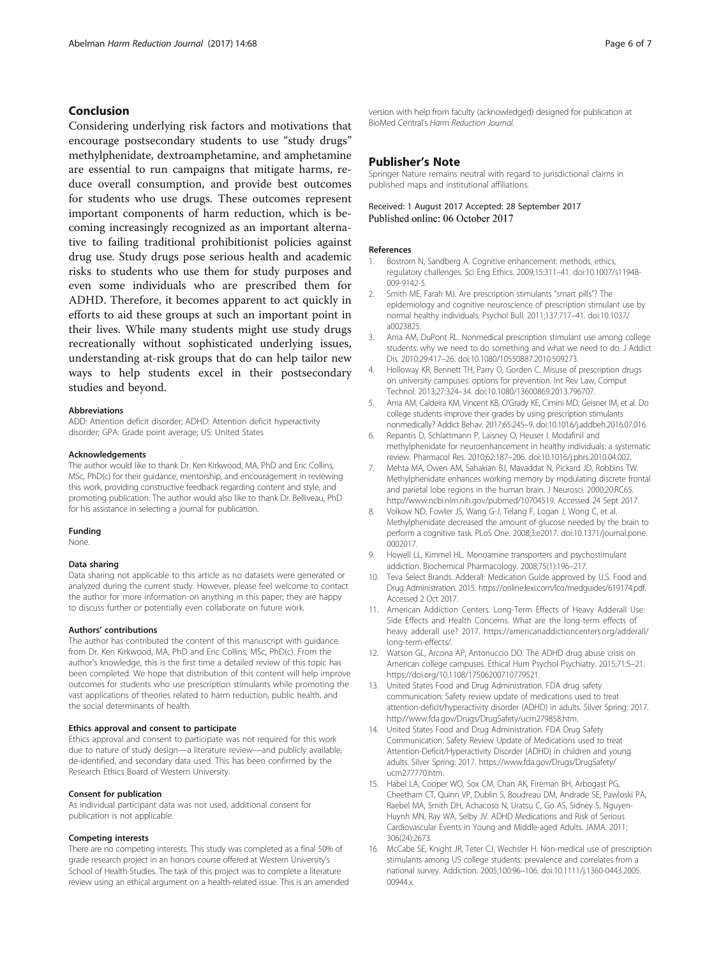### <span id="page-5-0"></span>Conclusion

Considering underlying risk factors and motivations that encourage postsecondary students to use "study drugs" methylphenidate, dextroamphetamine, and amphetamine are essential to run campaigns that mitigate harms, reduce overall consumption, and provide best outcomes for students who use drugs. These outcomes represent important components of harm reduction, which is becoming increasingly recognized as an important alternative to failing traditional prohibitionist policies against drug use. Study drugs pose serious health and academic risks to students who use them for study purposes and even some individuals who are prescribed them for ADHD. Therefore, it becomes apparent to act quickly in efforts to aid these groups at such an important point in their lives. While many students might use study drugs recreationally without sophisticated underlying issues, understanding at-risk groups that do can help tailor new ways to help students excel in their postsecondary studies and beyond.

#### Abbreviations

ADD: Attention deficit disorder; ADHD: Attention deficit hyperactivity disorder; GPA: Grade point average; US: United States

#### Acknowledgements

The author would like to thank Dr. Ken Kirkwood, MA, PhD and Eric Collins, MSc, PhD(c) for their guidance, mentorship, and encouragement in reviewing this work, providing constructive feedback regarding content and style, and promoting publication. The author would also like to thank Dr. Belliveau, PhD for his assistance in selecting a journal for publication.

#### Funding

None.

#### Data sharing

Data sharing not applicable to this article as no datasets were generated or analyzed during the current study. However, please feel welcome to contact the author for more information on anything in this paper; they are happy to discuss further or potentially even collaborate on future work.

#### Authors' contributions

The author has contributed the content of this manuscript with guidance from Dr. Ken Kirkwood, MA, PhD and Eric Collins, MSc, PhD(c). From the author's knowledge, this is the first time a detailed review of this topic has been completed. We hope that distribution of this content will help improve outcomes for students who use prescription stimulants while promoting the vast applications of theories related to harm reduction, public health, and the social determinants of health.

#### Ethics approval and consent to participate

Ethics approval and consent to participate was not required for this work due to nature of study design—a literature review—and publicly available, de-identified, and secondary data used. This has been confirmed by the Research Ethics Board of Western University.

#### Consent for publication

As individual participant data was not used, additional consent for publication is not applicable.

#### Competing interests

There are no competing interests. This study was completed as a final 50% of grade research project in an honors course offered at Western University's School of Health Studies. The task of this project was to complete a literature review using an ethical argument on a health-related issue. This is an amended

version with help from faculty (acknowledged) designed for publication at BioMed Central's Harm Reduction Journal.

#### Publisher's Note

Springer Nature remains neutral with regard to jurisdictional claims in published maps and institutional affiliations.

# Received: 1 August 2017 Accepted: 28 September 2017

#### References

- 1. Bostrom N, Sandberg A. Cognitive enhancement: methods, ethics, regulatory challenges. Sci Eng Ethics. 2009;15:311–41. doi[:10.1007/s11948-](http://dx.doi.org/10.1007/s11948-009-9142-5.) [009-9142-5.](http://dx.doi.org/10.1007/s11948-009-9142-5.)
- 2. Smith ME, Farah MJ. Are prescription stimulants "smart pills"? The epidemiology and cognitive neuroscience of prescription stimulant use by normal healthy individuals. Psychol Bull. 2011;137:717–41. doi[:10.1037/](http://dx.doi.org/10.1037/a0023825.) [a0023825.](http://dx.doi.org/10.1037/a0023825.)
- 3. Arria AM, DuPont RL. Nonmedical prescription stimulant use among college students: why we need to do something and what we need to do. J Addict Dis. 2010;29:417–26. doi:[10.1080/10550887.2010.509273.](http://dx.doi.org/10.1080/10550887.2010.509273.)
- 4. Holloway KR, Bennett TH, Parry O, Gorden C. Misuse of prescription drugs on university campuses: options for prevention. Int Rev Law, Comput Technol. 2013;27:324–34. doi:[10.1080/13600869.2013.796707.](http://dx.doi.org/10.1080/13600869.2013.796707)
- 5. Arria AM, Caldeira KM, Vincent KB, O'Grady KE, Cimini MD, Geisner IM, et al. Do college students improve their grades by using prescription stimulants nonmedically? Addict Behav. 2017;65:245–9. doi[:10.1016/j.addbeh.2016.07.016.](http://dx.doi.org/10.1016/j.addbeh.2016.07.016.)
- 6. Repantis D, Schlattmann P, Laisney O, Heuser I. Modafinil and methylphenidate for neuroenhancement in healthy individuals: a systematic review. Pharmacol Res. 2010;62:187–206. doi[:10.1016/j.phrs.2010.04.002.](http://dx.doi.org/10.1016/j.phrs.2010.04.002.)
- 7. Mehta MA, Owen AM, Sahakian BJ, Mavaddat N, Pickard JD, Robbins TW. Methylphenidate enhances working memory by modulating discrete frontal and parietal lobe regions in the human brain. J Neurosci. 2000;20:RC65. [http://www.ncbi.nlm.nih.gov/pubmed/10704519.](http://www.ncbi.nlm.nih.gov/pubmed/10704519) Accessed 24 Sept 2017.
- 8. Volkow ND, Fowler JS, Wang G-J, Telang F, Logan J, Wong C, et al. Methylphenidate decreased the amount of glucose needed by the brain to perform a cognitive task. PLoS One. 2008;3:e2017. doi:[10.1371/journal.pone.](http://dx.doi.org/10.1371/journal.pone.0002017.) [0002017.](http://dx.doi.org/10.1371/journal.pone.0002017.)
- Howell LL, Kimmel HL. Monoamine transporters and psychostimulant addiction. Biochemical Pharmacology. 2008;75(1):196–217.
- 10. Teva Select Brands. Adderall: Medication Guide approved by U.S. Food and Drug Administration. 2015. [https://online.lexi.com/lco/medguides/619174.pdf.](https://online.lexi.com/lco/medguides/619174.pdf) Accessed 2 Oct 2017.
- 11. American Addiction Centers. Long-Term Effects of Heavy Adderall Use: Side Effects and Health Concerns. What are the long-term effects of heavy adderall use? 2017. [https://americanaddictioncenters.org/adderall/](https://americanaddictioncenters.org/adderall/longterm-effects/) [long-term-effects/.](https://americanaddictioncenters.org/adderall/longterm-effects/)
- 12. Watson GL, Arcona AP, Antonuccio DO. The ADHD drug abuse crisis on American college campuses. Ethical Hum Psychol Psychiatry. 2015;71:5–21. [https://doi.org/10.1108/17506200710779521.](http://dx.doi.org/10.1108/17506200710779521)
- 13. United States Food and Drug Administration. FDA drug safety communication: Safety review update of medications used to treat attention-deficit/hyperactivity disorder (ADHD) in adults. Silver Spring: 2017. [http://www.fda.gov/Drugs/DrugSafety/ucm279858.htm.](http://www.fda.gov/Drugs/DrugSafety/ucm279858.htm)
- 14. United States Food and Drug Administration. FDA Drug Safety Communication: Safety Review Update of Medications used to treat Attention-Deficit/Hyperactivity Disorder (ADHD) in children and young adults. Silver Spring: 2017. [https://www.fda.gov/Drugs/DrugSafety/](https://www.fda.gov/Drugs/DrugSafety/ucm277770.htm) [ucm277770.htm.](https://www.fda.gov/Drugs/DrugSafety/ucm277770.htm)
- 15. Habel LA, Cooper WO, Sox CM, Chan AK, Fireman BH, Arbogast PG, Cheetham CT, Quinn VP, Dublin S, Boudreau DM, Andrade SE, Pawloski PA, Raebel MA, Smith DH, Achacoso N, Uratsu C, Go AS, Sidney S, Nguyen-Huynh MN, Ray WA, Selby JV. ADHD Medications and Risk of Serious Cardiovascular Events in Young and Middle-aged Adults. JAMA. 2011; 306(24):2673.
- 16. McCabe SE, Knight JR, Teter CJ, Wechsler H. Non-medical use of prescription stimulants among US college students: prevalence and correlates from a national survey. Addiction. 2005;100:96–106. doi:[10.1111/j.1360-0443.2005.](http://dx.doi.org/10.1111/j.1360-0443.2005.00944.x.) [00944.x.](http://dx.doi.org/10.1111/j.1360-0443.2005.00944.x.)